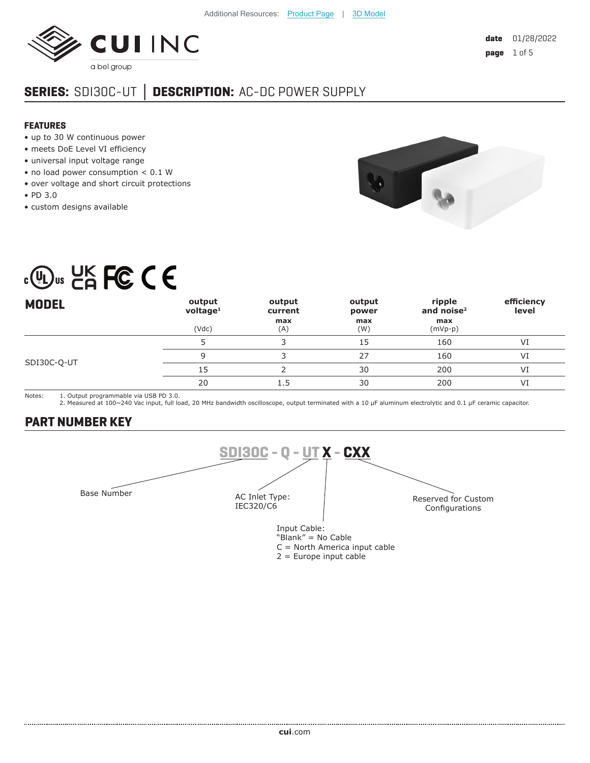

# **SERIES:** SDI30C-UT **│ DESCRIPTION:** AC-DC POWER SUPPLY

#### **FEATURES**

- up to 30 W continuous power
- meets DoE Level VI efficiency
- universal input voltage range
- no load power consumption < 0.1 W
- over voltage and short circuit protections
- PD 3.0
- custom designs available



# $\cdot$  (U<sub>Us</sub> LK FC C E

| <b>MODEL</b> | output<br>$v$ oltage <sup>1</sup> | output<br>current | output<br>power | ripple<br>and noise $2$ | efficiency<br>level |
|--------------|-----------------------------------|-------------------|-----------------|-------------------------|---------------------|
|              | (Vdc)                             | max<br>(A)        | max<br>(W)      | max<br>$(mVp-p)$        |                     |
|              |                                   |                   | 15              | 160                     | VI                  |
|              |                                   |                   | 27              | 160                     | VI                  |
| SDI30C-Q-UT  | 15                                |                   | 30              | 200                     | VI                  |
|              | 20                                | 1.5               | 30              | 200                     | VI                  |

Notes: 1. Output programmable via USB PD 3.0.

2. Measured at 100~240 Vac input, full load, 20 MHz bandwidth oscilloscope, output terminated with a 10 µF aluminum electrolytic and 0.1 µF ceramic capacitor.

# **PART NUMBER KEY**



2 = Europe input cable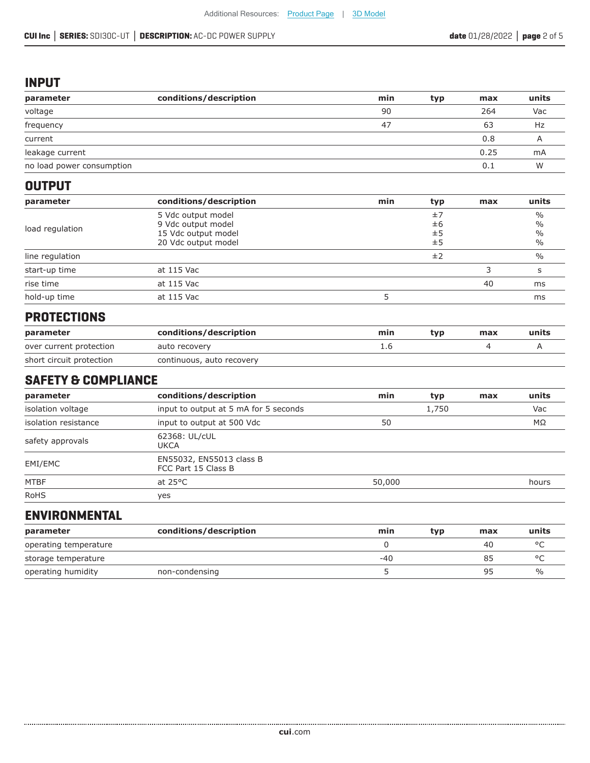#### **INPUT**

| parameter                 | conditions/description | min | typ | max  | units |
|---------------------------|------------------------|-----|-----|------|-------|
| voltage                   |                        | 90  |     | 264  | Vac   |
| frequency                 |                        | 47  |     | 63   | Hz    |
| current                   |                        |     |     | 0.8  |       |
| leakage current           |                        |     |     | 0.25 | mA    |
| no load power consumption |                        |     |     | 0.1  | W     |

#### **OUTPUT**

| parameter       | conditions/description | min | typ | max | units         |
|-----------------|------------------------|-----|-----|-----|---------------|
|                 | 5 Vdc output model     |     | ±7  |     | $\frac{0}{0}$ |
|                 | 9 Vdc output model     |     | ±6  |     | $\%$          |
| load regulation | 15 Vdc output model    |     | ±5  |     | $\frac{0}{0}$ |
|                 | 20 Vdc output model    | ±5  |     |     | %             |
| line regulation |                        |     | ±2  |     | $\%$          |
| start-up time   | at 115 Vac             |     |     |     |               |
| rise time       | at 115 Vac             |     |     | 40  | ms            |
| hold-up time    | at 115 Vac             |     |     |     | ms            |

#### **PROTECTIONS**

| parameter                | conditions/description    | min | tvn | max | units |
|--------------------------|---------------------------|-----|-----|-----|-------|
| over current protection  | auto recovery             |     |     |     |       |
| short circuit protection | continuous, auto recovery |     |     |     |       |

#### **SAFETY & COMPLIANCE**

| parameter            | conditions/description                          | min    | typ   | max | units |
|----------------------|-------------------------------------------------|--------|-------|-----|-------|
| isolation voltage    | input to output at 5 mA for 5 seconds           |        | 1,750 |     | Vac   |
| isolation resistance | input to output at 500 Vdc                      | 50     |       |     | ΜΩ    |
| safety approvals     | 62368: UL/cUL<br>UKCA                           |        |       |     |       |
| EMI/EMC              | EN55032, EN55013 class B<br>FCC Part 15 Class B |        |       |     |       |
| <b>MTBF</b>          | at $25^{\circ}$ C                               | 50,000 |       |     | hours |
| <b>RoHS</b>          | yes                                             |        |       |     |       |

#### **ENVIRONMENTAL**

| parameter             | conditions/description | min | tvp | max | units |
|-----------------------|------------------------|-----|-----|-----|-------|
| operating temperature |                        |     |     | 40  |       |
| storage temperature   |                        | -40 |     | כא  |       |
| operating humidity    | non-condensing         |     |     | 95  | $\%$  |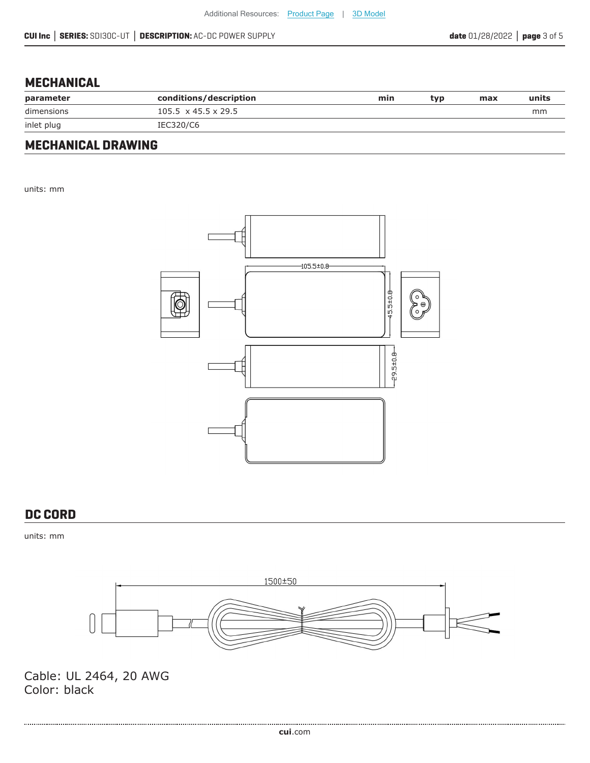#### **MECHANICAL**

| parameter  | conditions/description          | min | tvp. | max | units |
|------------|---------------------------------|-----|------|-----|-------|
| dimensions | $105.5 \times 45.5 \times 29.5$ |     |      |     | mm    |
| inlet plug | IEC320/C6                       |     |      |     |       |

# **MECHANICAL DRAWING**

units: mm



#### **DC CORD**

units: mm



Cable: UL 2464, 20 AWG Color: black

.................................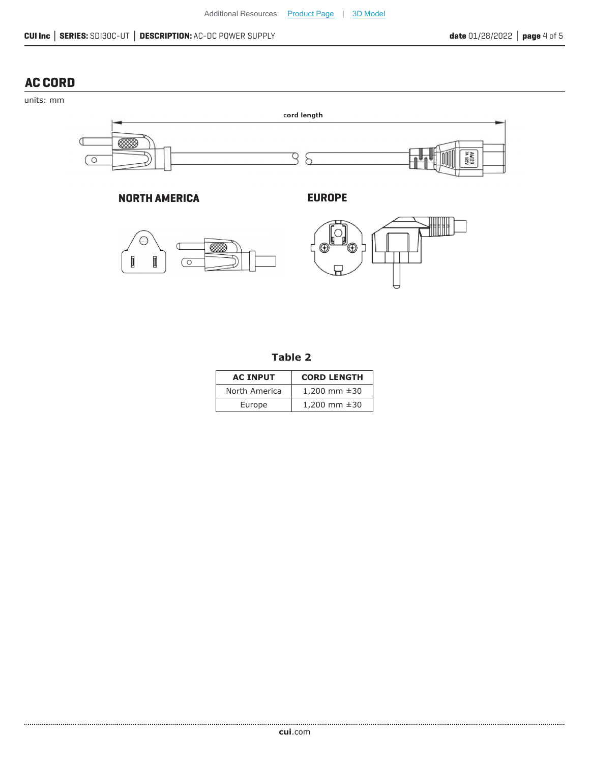### **AC CORD**



**NORTH AMERICA EUROPE**





|  | ۰. | v<br>w |  |
|--|----|--------|--|
|--|----|--------|--|

| <b>AC INPUT</b> | <b>CORD LENGTH</b> |
|-----------------|--------------------|
| North America   | 1,200 mm $\pm$ 30  |
| Europe          | 1,200 mm $\pm$ 30  |